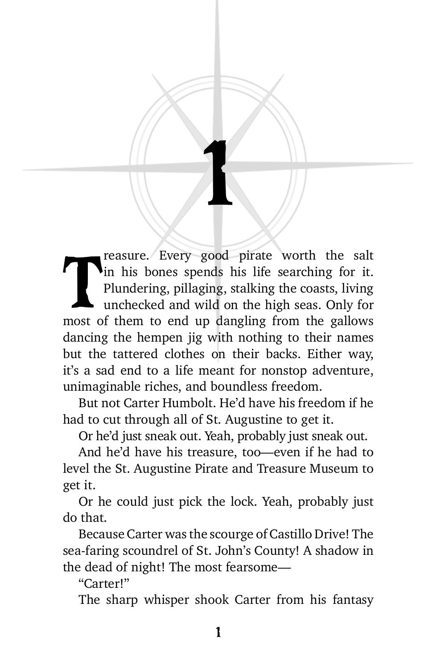reasure. Every good pirate worth the salt in his bones spends his life searching for it. Plundering, pillaging, stalking the coasts, living unchecked and wild on the high seas. Only for most of them to end up dangling from reasure. Every good pirate worth the salt in his bones spends his life searching for it. Plundering, pillaging, stalking the coasts, living unchecked and wild on the high seas. Only for dancing the hempen jig with nothing to their names but the tattered clothes on their backs. Either way, it's a sad end to a life meant for nonstop adventure, unimaginable riches, and boundless freedom.

1

But not Carter Humbolt. He'd have his freedom if he had to cut through all of St. Augustine to get it.

Or he'd just sneak out. Yeah, probably just sneak out.

And he'd have his treasure, too—even if he had to level the St. Augustine Pirate and Treasure Museum to get it.

Or he could just pick the lock. Yeah, probably just do that.

Because Carter was the scourge of Castillo Drive! The sea-faring scoundrel of St. John's County! A shadow in the dead of night! The most fearsome—

"Carter!"

The sharp whisper shook Carter from his fantasy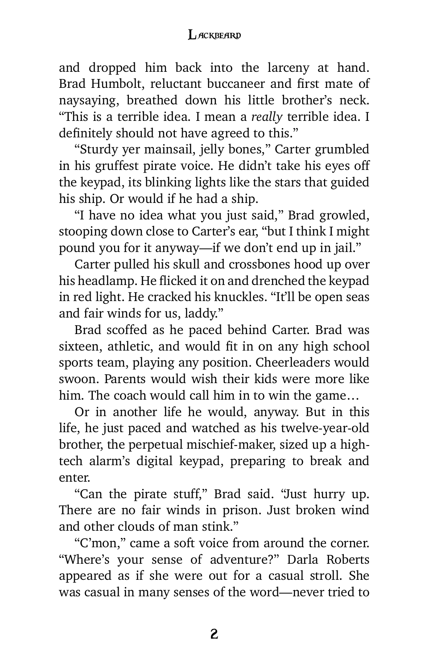## **LACKBEARD**

and dropped him back into the larceny at hand. Brad Humbolt, reluctant buccaneer and first mate of naysaying, breathed down his little brother's neck. "This is a terrible idea. I mean a *really* terrible idea. I definitely should not have agreed to this."

"Sturdy yer mainsail, jelly bones," Carter grumbled in his gruffest pirate voice. He didn't take his eyes off the keypad, its blinking lights like the stars that guided his ship. Or would if he had a ship.

"I have no idea what you just said," Brad growled, stooping down close to Carter's ear, "but I think I might pound you for it anyway—if we don't end up in jail."

Carter pulled his skull and crossbones hood up over his headlamp. He flicked it on and drenched the keypad in red light. He cracked his knuckles. "It'll be open seas and fair winds for us, laddy."

Brad scoffed as he paced behind Carter. Brad was sixteen, athletic, and would fit in on any high school sports team, playing any position. Cheerleaders would swoon. Parents would wish their kids were more like him. The coach would call him in to win the game…

Or in another life he would, anyway. But in this life, he just paced and watched as his twelve-year-old brother, the perpetual mischief-maker, sized up a hightech alarm's digital keypad, preparing to break and enter.

"Can the pirate stuff," Brad said. "Just hurry up. There are no fair winds in prison. Just broken wind and other clouds of man stink."

"C'mon," came a soft voice from around the corner. "Where's your sense of adventure?" Darla Roberts appeared as if she were out for a casual stroll. She was casual in many senses of the word—never tried to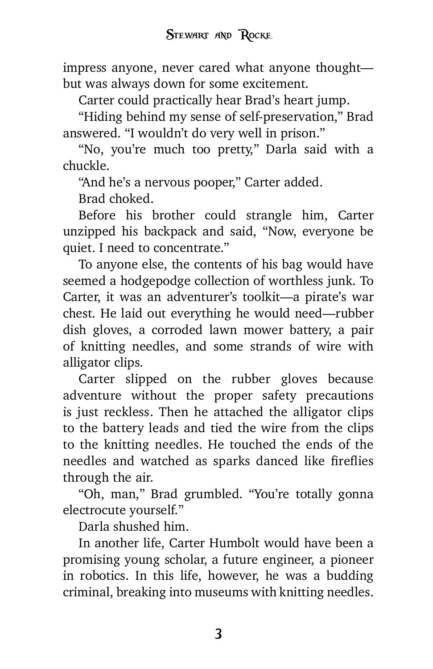impress anyone, never cared what anyone thought but was always down for some excitement.

Carter could practically hear Brad's heart jump.

"Hiding behind my sense of self-preservation," Brad answered. "I wouldn't do very well in prison."

"No, you're much too pretty," Darla said with a chuckle.

"And he's a nervous pooper," Carter added.

Brad choked.

Before his brother could strangle him, Carter unzipped his backpack and said, "Now, everyone be quiet. I need to concentrate."

To anyone else, the contents of his bag would have seemed a hodgepodge collection of worthless junk. To Carter, it was an adventurer's toolkit—a pirate's war chest. He laid out everything he would need—rubber dish gloves, a corroded lawn mower battery, a pair of knitting needles, and some strands of wire with alligator clips.

Carter slipped on the rubber gloves because adventure without the proper safety precautions is just reckless. Then he attached the alligator clips to the battery leads and tied the wire from the clips to the knitting needles. He touched the ends of the needles and watched as sparks danced like fireflies through the air.

"Oh, man," Brad grumbled. "You're totally gonna electrocute yourself."

Darla shushed him.

In another life, Carter Humbolt would have been a promising young scholar, a future engineer, a pioneer in robotics. In this life, however, he was a budding criminal, breaking into museums with knitting needles.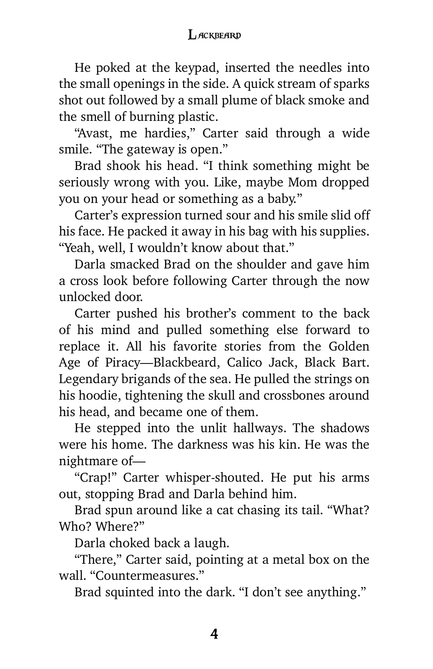## **LACKBEARD**

He poked at the keypad, inserted the needles into the small openings in the side. A quick stream of sparks shot out followed by a small plume of black smoke and the smell of burning plastic.

"Avast, me hardies," Carter said through a wide smile. "The gateway is open."

Brad shook his head. "I think something might be seriously wrong with you. Like, maybe Mom dropped you on your head or something as a baby."

Carter's expression turned sour and his smile slid off his face. He packed it away in his bag with his supplies. "Yeah, well, I wouldn't know about that."

Darla smacked Brad on the shoulder and gave him a cross look before following Carter through the now unlocked door.

Carter pushed his brother's comment to the back of his mind and pulled something else forward to replace it. All his favorite stories from the Golden Age of Piracy—Blackbeard, Calico Jack, Black Bart. Legendary brigands of the sea. He pulled the strings on his hoodie, tightening the skull and crossbones around his head, and became one of them.

He stepped into the unlit hallways. The shadows were his home. The darkness was his kin. He was the nightmare of—

"Crap!" Carter whisper-shouted. He put his arms out, stopping Brad and Darla behind him.

Brad spun around like a cat chasing its tail. "What? Who? Where?"

Darla choked back a laugh.

"There," Carter said, pointing at a metal box on the wall. "Countermeasures."

Brad squinted into the dark. "I don't see anything."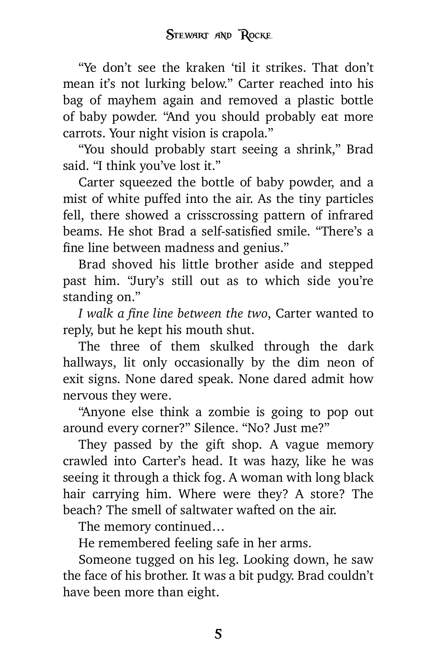"Ye don't see the kraken 'til it strikes. That don't mean it's not lurking below." Carter reached into his bag of mayhem again and removed a plastic bottle of baby powder. "And you should probably eat more carrots. Your night vision is crapola."

"You should probably start seeing a shrink," Brad said. "I think you've lost it."

Carter squeezed the bottle of baby powder, and a mist of white puffed into the air. As the tiny particles fell, there showed a crisscrossing pattern of infrared beams. He shot Brad a self-satisfied smile. "There's a fine line between madness and genius."

Brad shoved his little brother aside and stepped past him. "Jury's still out as to which side you're standing on."

*I walk a fine line between the two*, Carter wanted to reply, but he kept his mouth shut.

The three of them skulked through the dark hallways, lit only occasionally by the dim neon of exit signs. None dared speak. None dared admit how nervous they were.

"Anyone else think a zombie is going to pop out around every corner?" Silence. "No? Just me?"

They passed by the gift shop. A vague memory crawled into Carter's head. It was hazy, like he was seeing it through a thick fog. A woman with long black hair carrying him. Where were they? A store? The beach? The smell of saltwater wafted on the air.

The memory continued…

He remembered feeling safe in her arms.

Someone tugged on his leg. Looking down, he saw the face of his brother. It was a bit pudgy. Brad couldn't have been more than eight.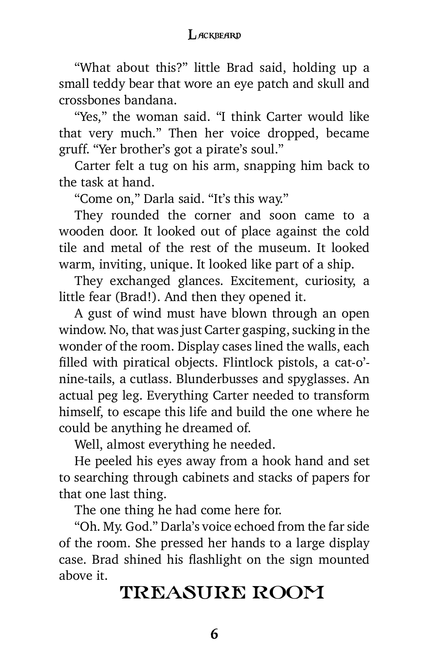## **LACKBEARD**

"What about this?" little Brad said, holding up a small teddy bear that wore an eye patch and skull and crossbones bandana.

"Yes," the woman said. "I think Carter would like that very much." Then her voice dropped, became gruff. "Yer brother's got a pirate's soul."

Carter felt a tug on his arm, snapping him back to the task at hand.

"Come on," Darla said. "It's this way."

They rounded the corner and soon came to a wooden door. It looked out of place against the cold tile and metal of the rest of the museum. It looked warm, inviting, unique. It looked like part of a ship.

They exchanged glances. Excitement, curiosity, a little fear (Brad!). And then they opened it.

A gust of wind must have blown through an open window. No, that was just Carter gasping, sucking in the wonder of the room. Display cases lined the walls, each filled with piratical objects. Flintlock pistols, a cat-o' nine-tails, a cutlass. Blunderbusses and spyglasses. An actual peg leg. Everything Carter needed to transform himself, to escape this life and build the one where he could be anything he dreamed of.

Well, almost everything he needed.

He peeled his eyes away from a hook hand and set to searching through cabinets and stacks of papers for that one last thing.

The one thing he had come here for.

"Oh. My. God." Darla's voice echoed from the far side of the room. She pressed her hands to a large display case. Brad shined his flashlight on the sign mounted above it.

## TREASURE ROOM